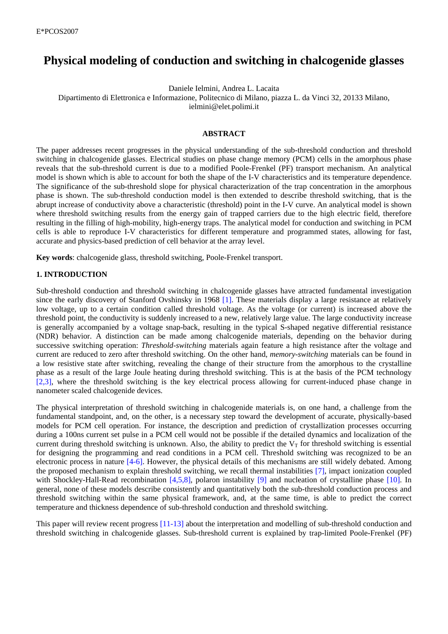# **Physical modeling of conduction and switching in chalcogenide glasses**

Daniele Ielmini, Andrea L. Lacaita

Dipartimento di Elettronica e Informazione, Politecnico di Milano, piazza L. da Vinci 32, 20133 Milano,

ielmini@elet.polimi.it

## **ABSTRACT**

The paper addresses recent progresses in the physical understanding of the sub-threshold conduction and threshold switching in chalcogenide glasses. Electrical studies on phase change memory (PCM) cells in the amorphous phase reveals that the sub-threshold current is due to a modified Poole-Frenkel (PF) transport mechanism. An analytical model is shown which is able to account for both the shape of the I-V characteristics and its temperature dependence. The significance of the sub-threshold slope for physical characterization of the trap concentration in the amorphous phase is shown. The sub-threshold conduction model is then extended to describe threshold switching, that is the abrupt increase of conductivity above a characteristic (threshold) point in the I-V curve. An analytical model is shown where threshold switching results from the energy gain of trapped carriers due to the high electric field, therefore resulting in the filling of high-mobility, high-energy traps. The analytical model for conduction and switching in PCM cells is able to reproduce I-V characteristics for different temperature and programmed states, allowing for fast, accurate and physics-based prediction of cell behavior at the array level.

**Key words**: chalcogenide glass, threshold switching, Poole-Frenkel transport.

# **1. INTRODUCTION**

Sub-threshold conduction and threshold switching in chalcogenide glasses have attracted fundamental investigation since the early discovery of Stanford Ovshinsky in 1968 [1]. These materials display a large resistance at relatively low voltage, up to a certain condition called threshold voltage. As the voltage (or current) is increased above the threshold point, the conductivity is suddenly increased to a new, relatively large value. The large conductivity increase is generally accompanied by a voltage snap-back, resulting in the typical S-shaped negative differential resistance (NDR) behavior. A distinction can be made among chalcogenide materials, depending on the behavior during successive switching operation: *Threshold-switching* materials again feature a high resistance after the voltage and current are reduced to zero after threshold switching. On the other hand, *memory-switching* materials can be found in a low resistive state after switching, revealing the change of their structure from the amorphous to the crystalline phase as a result of the large Joule heating during threshold switching. This is at the basis of the PCM technology [2,3], where the threshold switching is the key electrical process allowing for current-induced phase change in nanometer scaled chalcogenide devices.

The physical interpretation of threshold switching in chalcogenide materials is, on one hand, a challenge from the fundamental standpoint, and, on the other, is a necessary step toward the development of accurate, physically-based models for PCM cell operation. For instance, the description and prediction of crystallization processes occurring during a 100ns current set pulse in a PCM cell would not be possible if the detailed dynamics and localization of the current during threshold switching is unknown. Also, the ability to predict the  $V_T$  for threshold switching is essential for designing the programming and read conditions in a PCM cell. Threshold switching was recognized to be an electronic process in nature [4-6]. However, the physical details of this mechanisms are still widely debated. Among the proposed mechanism to explain threshold switching, we recall thermal instabilities [7], impact ionization coupled with Shockley-Hall-Read recombination [4,5,8], polaron instability [9] and nucleation of crystalline phase [10]. In general, none of these models describe consistently and quantitatively both the sub-threshold conduction process and threshold switching within the same physical framework, and, at the same time, is able to predict the correct temperature and thickness dependence of sub-threshold conduction and threshold switching.

This paper will review recent progress [11-13] about the interpretation and modelling of sub-threshold conduction and threshold switching in chalcogenide glasses. Sub-threshold current is explained by trap-limited Poole-Frenkel (PF)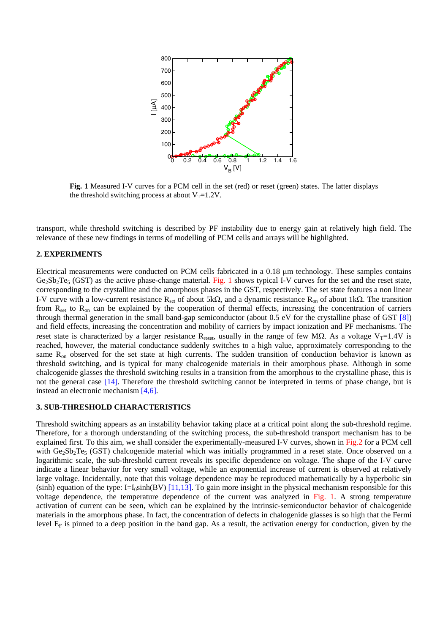

**Fig. 1** Measured I-V curves for a PCM cell in the set (red) or reset (green) states. The latter displays the threshold switching process at about  $V_T=1.2V$ .

transport, while threshold switching is described by PF instability due to energy gain at relatively high field. The relevance of these new findings in terms of modelling of PCM cells and arrays will be highlighted.

## **2. EXPERIMENTS**

Electrical measurements were conducted on PCM cells fabricated in a 0.18 μm technology. These samples contains  $Ge_2Sb_2Te_5$  (GST) as the active phase-change material. Fig. 1 shows typical I-V curves for the set and the reset state, corresponding to the crystalline and the amorphous phases in the GST, respectively. The set state features a non linear I-V curve with a low-current resistance R<sub>set</sub> of about 5kΩ, and a dynamic resistance R<sub>on</sub> of about 1kΩ. The transition from  $R_{set}$  to  $R_{on}$  can be explained by the cooperation of thermal effects, increasing the concentration of carriers through thermal generation in the small band-gap semiconductor (about 0.5 eV for the crystalline phase of GST [8]) and field effects, increasing the concentration and mobility of carriers by impact ionization and PF mechanisms. The reset state is characterized by a larger resistance R<sub>reset</sub>, usually in the range of few MΩ. As a voltage V<sub>T</sub>=1.4V is reached, however, the material conductance suddenly switches to a high value, approximately corresponding to the same  $R_{\text{on}}$  observed for the set state at high currents. The sudden transition of conduction behavior is known as threshold switching, and is typical for many chalcogenide materials in their amorphous phase. Although in some chalcogenide glasses the threshold switching results in a transition from the amorphous to the crystalline phase, this is not the general case [14]. Therefore the threshold switching cannot be interpreted in terms of phase change, but is instead an electronic mechanism [4,6].

# **3. SUB-THRESHOLD CHARACTERISTICS**

Threshold switching appears as an instability behavior taking place at a critical point along the sub-threshold regime. Therefore, for a thorough understanding of the switching process, the sub-threshold transport mechanism has to be explained first. To this aim, we shall consider the experimentally-measured I-V curves, shown in Fig.2 for a PCM cell with  $Ge_2Sb_2Te_5$  (GST) chalcogenide material which was initially programmed in a reset state. Once observed on a logarithmic scale, the sub-threshold current reveals its specific dependence on voltage. The shape of the I-V curve indicate a linear behavior for very small voltage, while an exponential increase of current is observed at relatively large voltage. Incidentally, note that this voltage dependence may be reproduced mathematically by a hyperbolic sin (sinh) equation of the type:  $I=I_0\sinh(BV)$  [11,13]. To gain more insight in the physical mechanism responsible for this voltage dependence, the temperature dependence of the current was analyzed in Fig. 1. A strong temperature activation of current can be seen, which can be explained by the intrinsic-semiconductor behavior of chalcogenide materials in the amorphous phase. In fact, the concentration of defects in chalogenide glasses is so high that the Fermi level  $E_F$  is pinned to a deep position in the band gap. As a result, the activation energy for conduction, given by the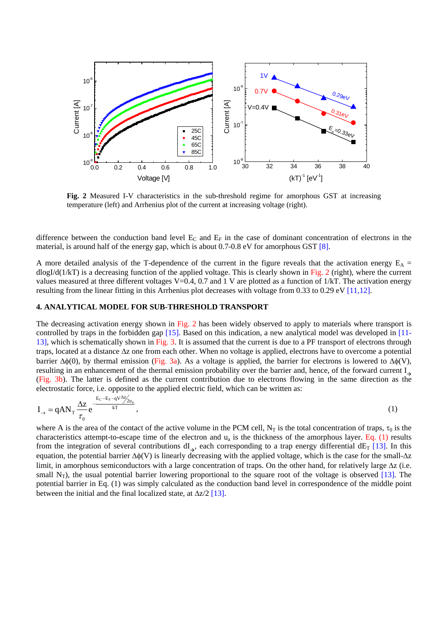

**Fig. 2** Measured I-V characteristics in the sub-threshold regime for amorphous GST at increasing temperature (left) and Arrhenius plot of the current at increasing voltage (right).

difference between the conduction band level  $E_C$  and  $E_F$  in the case of dominant concentration of electrons in the material, is around half of the energy gap, which is about 0.7-0.8 eV for amorphous GST [8].

A more detailed analysis of the T-dependence of the current in the figure reveals that the activation energy  $E_A$  =  $dlogI/d(1/kT)$  is a decreasing function of the applied voltage. This is clearly shown in Fig. 2 (right), where the current values measured at three different voltages V=0.4, 0.7 and 1 V are plotted as a function of 1/kT. The activation energy resulting from the linear fitting in this Arrhenius plot decreases with voltage from 0.33 to 0.29 eV [11,12].

#### **4. ANALYTICAL MODEL FOR SUB-THRESHOLD TRANSPORT**

The decreasing activation energy shown in Fig. 2 has been widely observed to apply to materials where transport is controlled by traps in the forbidden gap [15]. Based on this indication, a new analytical model was developed in [11- 13], which is schematically shown in Fig. 3. It is assumed that the current is due to a PF transport of electrons through traps, located at a distance Δz one from each other. When no voltage is applied, electrons have to overcome a potential barrier  $\Delta\phi(0)$ , by thermal emission (Fig. 3a). As a voltage is applied, the barrier for electrons is lowered to  $\Delta\phi(V)$ , resulting in an enhancement of the thermal emission probability over the barrier and, hence, of the forward current  $I<sub>></sub>$ (Fig. 3b). The latter is defined as the current contribution due to electrons flowing in the same direction as the electrostatic force, i.e. opposite to the applied electric field, which can be written as:

$$
I_{\rightarrow} = qAN_{T}\frac{\Delta z}{\tau_{0}}e^{-\frac{E_{C}-E_{F}-qv\Delta z/2_{u_{a}}}{kT}},
$$
\n(1)

where A is the area of the contact of the active volume in the PCM cell, N<sub>T</sub> is the total concentration of traps,  $\tau_0$  is the characteristics attempt-to-escape time of the electron and  $u_a$  is the thickness of the amorphous layer. Eq. (1) results from the integration of several contributions  $dI_{\gamma}$ , each corresponding to a trap energy differential  $dE_T$  [13]. In this equation, the potential barrier  $\Delta \phi(V)$  is linearly decreasing with the applied voltage, which is the case for the small- $\Delta z$ limit, in amorphous semiconductors with a large concentration of traps. On the other hand, for relatively large  $\Delta z$  (i.e. small  $N_T$ ), the usual potential barrier lowering proportional to the square root of the voltage is observed [13]. The potential barrier in Eq. (1) was simply calculated as the conduction band level in correspondence of the middle point between the initial and the final localized state, at  $\Delta z/2$  [13].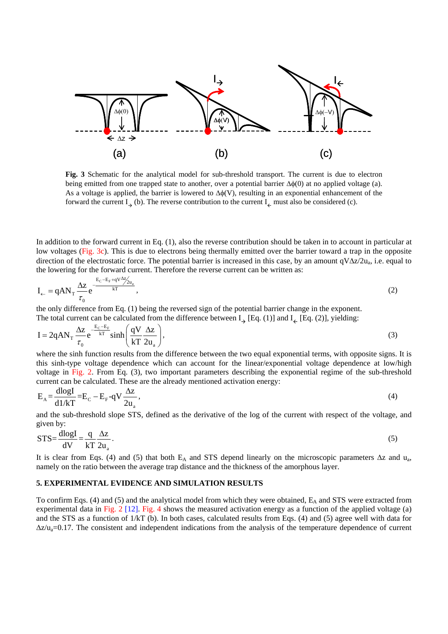

**Fig. 3** Schematic for the analytical model for sub-threshold transport. The current is due to electron being emitted from one trapped state to another, over a potential barrier  $\Delta\phi(0)$  at no applied voltage (a). As a voltage is applied, the barrier is lowered to  $\Delta\phi(V)$ , resulting in an exponential enhancement of the forward the current  $I_{\rightarrow}$  (b). The reverse contribution to the current  $I_{\leftarrow}$  must also be considered (c).

In addition to the forward current in Eq. (1), also the reverse contribution should be taken in to account in particular at low voltages (Fig. 3c). This is due to electrons being thermally emitted over the barrier toward a trap in the opposite direction of the electrostatic force. The potential barrier is increased in this case, by an amount  $qV\Delta z/2u_a$ , i.e. equal to the lowering for the forward current. Therefore the reverse current can be written as:

$$
I_{\leftarrow} = qAN_{T} \frac{\Delta z}{\tau_{0}} e^{-\frac{E_{C} - E_{F} + qV \Delta z_{2u_{a}}}{kT}},
$$
\n(2)

the only difference from Eq. (1) being the reversed sign of the potential barrier change in the exponent. The total current can be calculated from the difference between  $I_{\alpha}$  [Eq. (1)] and  $I_{\alpha}$  [Eq. (2)], yielding:

$$
I = 2qAN_{T} \frac{\Delta z}{\tau_{0}} e^{-\frac{E_{C} - E_{F}}{kT}} \sinh\left(\frac{qV}{kT} \frac{\Delta z}{2u_{a}}\right),
$$
\n(3)

where the sinh function results from the difference between the two equal exponential terms, with opposite signs. It is this sinh-type voltage dependence which can account for the linear/exponential voltage dependence at low/high voltage in Fig. 2. From Eq. (3), two important parameters describing the exponential regime of the sub-threshold current can be calculated. These are the already mentioned activation energy:

$$
E_A = \frac{d\log I}{d1/kT} = E_C - E_F - qV \frac{\Delta z}{2u_a},
$$
\n(4)

and the sub-threshold slope STS, defined as the derivative of the log of the current with respect of the voltage, and given by:

$$
STS = \frac{dlogI}{dV} = \frac{q}{kT} \frac{\Delta z}{2u_a}.
$$
\n<sup>(5)</sup>

It is clear from Eqs. (4) and (5) that both E<sub>A</sub> and STS depend linearly on the microscopic parameters  $\Delta z$  and u<sub>a</sub>, namely on the ratio between the average trap distance and the thickness of the amorphous layer.

# **5. EXPERIMENTAL EVIDENCE AND SIMULATION RESULTS**

To confirm Eqs. (4) and (5) and the analytical model from which they were obtained,  $E_A$  and STS were extracted from experimental data in Fig. 2 [12]. Fig. 4 shows the measured activation energy as a function of the applied voltage (a) and the STS as a function of  $1/kT$  (b). In both cases, calculated results from Eqs. (4) and (5) agree well with data for  $\Delta z/\mu_a = 0.17$ . The consistent and independent indications from the analysis of the temperature dependence of current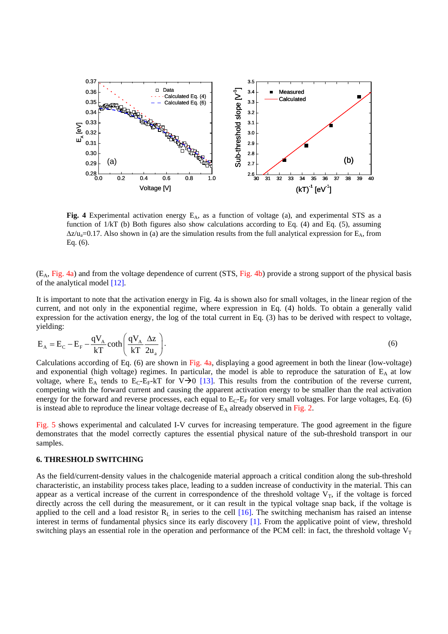

**Fig. 4** Experimental activation energy  $E_A$ , as a function of voltage (a), and experimental STS as a function of 1/kT (b) Both figures also show calculations according to Eq. (4) and Eq. (5), assuming  $\Delta z/\mu_a=0.17$ . Also shown in (a) are the simulation results from the full analytical expression for E<sub>A</sub>, from Eq. (6).

 $(E_A, Fig. 4a)$  and from the voltage dependence of current (STS, Fig. 4b) provide a strong support of the physical basis of the analytical model [12].

It is important to note that the activation energy in Fig. 4a is shown also for small voltages, in the linear region of the current, and not only in the exponential regime, where expression in Eq. (4) holds. To obtain a generally valid expression for the activation energy, the log of the total current in Eq. (3) has to be derived with respect to voltage, yielding:

$$
E_{A} = E_{C} - E_{F} - \frac{qV_{A}}{kT} \coth\left(\frac{qV_{A}}{kT} \frac{\Delta z}{2u_{a}}\right).
$$
 (6)

Calculations according of Eq. (6) are shown in Fig. 4a, displaying a good agreement in both the linear (low-voltage) and exponential (high voltage) regimes. In particular, the model is able to reproduce the saturation of  $E_A$  at low voltage, where  $E_A$  tends to  $E_C-E_F-KT$  for  $V\rightarrow 0$  [13]. This results from the contribution of the reverse current, competing with the forward current and causing the apparent activation energy to be smaller than the real activation energy for the forward and reverse processes, each equal to  $E_C-E_F$  for very small voltages. For large voltages, Eq. (6) is instead able to reproduce the linear voltage decrease of  $E_A$  already observed in Fig. 2.

Fig. 5 shows experimental and calculated I-V curves for increasing temperature. The good agreement in the figure demonstrates that the model correctly captures the essential physical nature of the sub-threshold transport in our samples.

# **6. THRESHOLD SWITCHING**

As the field/current-density values in the chalcogenide material approach a critical condition along the sub-threshold characteristic, an instability process takes place, leading to a sudden increase of conductivity in the material. This can appear as a vertical increase of the current in correspondence of the threshold voltage  $V_T$ , if the voltage is forced directly across the cell during the measurement, or it can result in the typical voltage snap back, if the voltage is applied to the cell and a load resistor  $R<sub>L</sub>$  in series to the cell [16]. The switching mechanism has raised an intense interest in terms of fundamental physics since its early discovery [1]. From the applicative point of view, threshold switching plays an essential role in the operation and performance of the PCM cell: in fact, the threshold voltage  $V_T$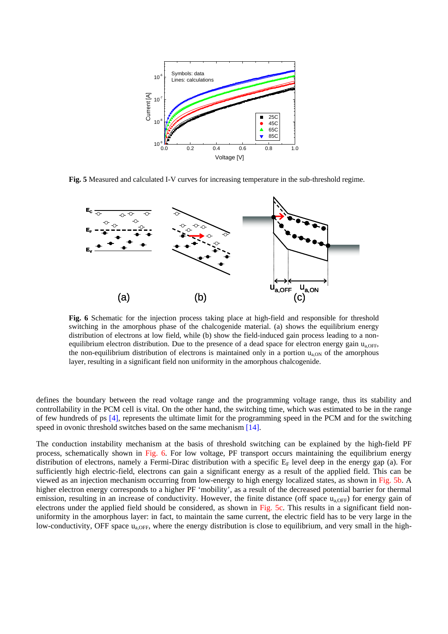

**Fig. 5** Measured and calculated I-V curves for increasing temperature in the sub-threshold regime.



**Fig. 6** Schematic for the injection process taking place at high-field and responsible for threshold switching in the amorphous phase of the chalcogenide material. (a) shows the equilibrium energy distribution of electrons at low field, while (b) show the field-induced gain process leading to a nonequilibrium electron distribution. Due to the presence of a dead space for electron energy gain  $u_{\text{a OFF}}$ the non-equilibrium distribution of electrons is maintained only in a portion  $u_{a,0N}$  of the amorphous layer, resulting in a significant field non uniformity in the amorphous chalcogenide.

defines the boundary between the read voltage range and the programming voltage range, thus its stability and controllability in the PCM cell is vital. On the other hand, the switching time, which was estimated to be in the range of few hundreds of ps [4], represents the ultimate limit for the programming speed in the PCM and for the switching speed in ovonic threshold switches based on the same mechanism [14].

The conduction instability mechanism at the basis of threshold switching can be explained by the high-field PF process, schematically shown in Fig. 6. For low voltage, PF transport occurs maintaining the equilibrium energy distribution of electrons, namely a Fermi-Dirac distribution with a specific  $E_F$  level deep in the energy gap (a). For sufficiently high electric-field, electrons can gain a significant energy as a result of the applied field. This can be viewed as an injection mechanism occurring from low-energy to high energy localized states, as shown in Fig. 5b. A higher electron energy corresponds to a higher PF 'mobility', as a result of the decreased potential barrier for thermal emission, resulting in an increase of conductivity. However, the finite distance (off space  $u_{a,OFF}$ ) for energy gain of electrons under the applied field should be considered, as shown in Fig. 5c. This results in a significant field nonuniformity in the amorphous layer: in fact, to maintain the same current, the electric field has to be very large in the low-conductivity, OFF space  $u_{a,DEF}$ , where the energy distribution is close to equilibrium, and very small in the high-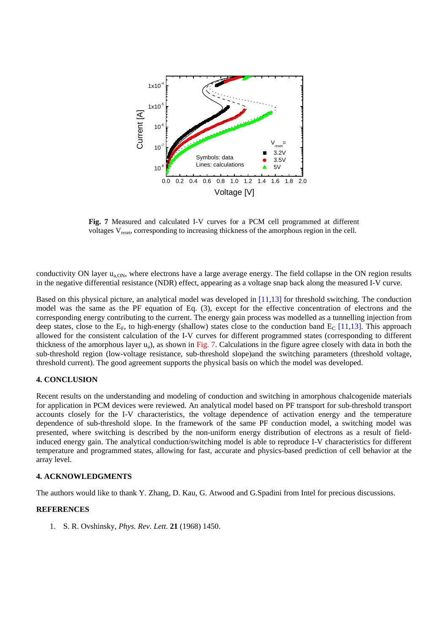

**Fig. 7** Measured and calculated I-V curves for a PCM cell programmed at different voltages V<sub>reset</sub>, corresponding to increasing thickness of the amorphous region in the cell.

conductivity ON layer  $u_{a,ON}$ , where electrons have a large average energy. The field collapse in the ON region results in the negative differential resistance (NDR) effect, appearing as a voltage snap back along the measured I-V curve.

Based on this physical picture, an analytical model was developed in [11,13] for threshold switching. The conduction model was the same as the PF equation of Eq. (3), except for the effective concentration of electrons and the corresponding energy contributing to the current. The energy gain process was modelled as a tunnelling injection from deep states, close to the E<sub>F</sub>, to high-energy (shallow) states close to the conduction band E<sub>C</sub> [11,13]. This approach allowed for the consistent calculation of the I-V curves for different programmed states (corresponding to different thickness of the amorphous layer  $u_a$ ), as shown in Fig. 7. Calculations in the figure agree closely with data in both the sub-threshold region (low-voltage resistance, sub-threshold slope)and the switching parameters (threshold voltage, threshold current). The good agreement supports the physical basis on which the model was developed.

# **4. CONCLUSION**

Recent results on the understanding and modeling of conduction and switching in amorphous chalcogenide materials for application in PCM devices were reviewed. An analytical model based on PF transport for sub-threshold transport accounts closely for the I-V characteristics, the voltage dependence of activation energy and the temperature dependence of sub-threshold slope. In the framework of the same PF conduction model, a switching model was presented, where switching is described by the non-uniform energy distribution of electrons as a result of fieldinduced energy gain. The analytical conduction/switching model is able to reproduce I-V characteristics for different temperature and programmed states, allowing for fast, accurate and physics-based prediction of cell behavior at the array level.

# **4. ACKNOWLEDGMENTS**

The authors would like to thank Y. Zhang, D. Kau, G. Atwood and G.Spadini from Intel for precious discussions.

#### **REFERENCES**

1. S. R. Ovshinsky, *Phys. Rev. Lett.* **21** (1968) 1450.